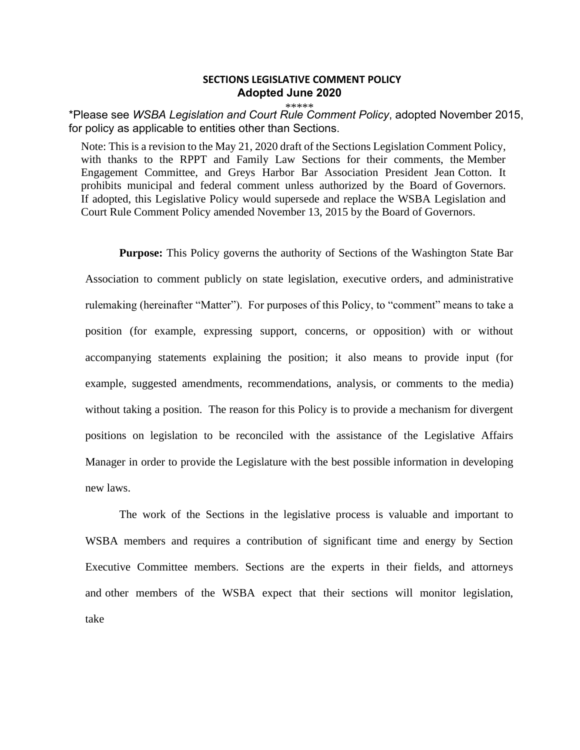## **SECTIONS LEGISLATIVE COMMENT POLICY Adopted June 2020**

\*\*\*\*\* \*Please see *WSBA Legislation and Court Rule Comment Policy*, adopted November 2015, for policy as applicable to entities other than Sections.

Note: This is a revision to the May 21, 2020 draft of the Sections Legislation Comment Policy, with thanks to the RPPT and Family Law Sections for their comments, the Member Engagement Committee, and Greys Harbor Bar Association President Jean Cotton. It prohibits municipal and federal comment unless authorized by the Board of Governors. If adopted, this Legislative Policy would supersede and replace the WSBA Legislation and Court Rule Comment Policy amended November 13, 2015 by the Board of Governors.

**Purpose:** This Policy governs the authority of Sections of the Washington State Bar Association to comment publicly on state legislation, executive orders, and administrative rulemaking (hereinafter "Matter"). For purposes of this Policy, to "comment" means to take a position (for example, expressing support, concerns, or opposition) with or without accompanying statements explaining the position; it also means to provide input (for example, suggested amendments, recommendations, analysis, or comments to the media) without taking a position. The reason for this Policy is to provide a mechanism for divergent positions on legislation to be reconciled with the assistance of the Legislative Affairs Manager in order to provide the Legislature with the best possible information in developing new laws.

The work of the Sections in the legislative process is valuable and important to WSBA members and requires a contribution of significant time and energy by Section Executive Committee members. Sections are the experts in their fields, and attorneys and other members of the WSBA expect that their sections will monitor legislation, take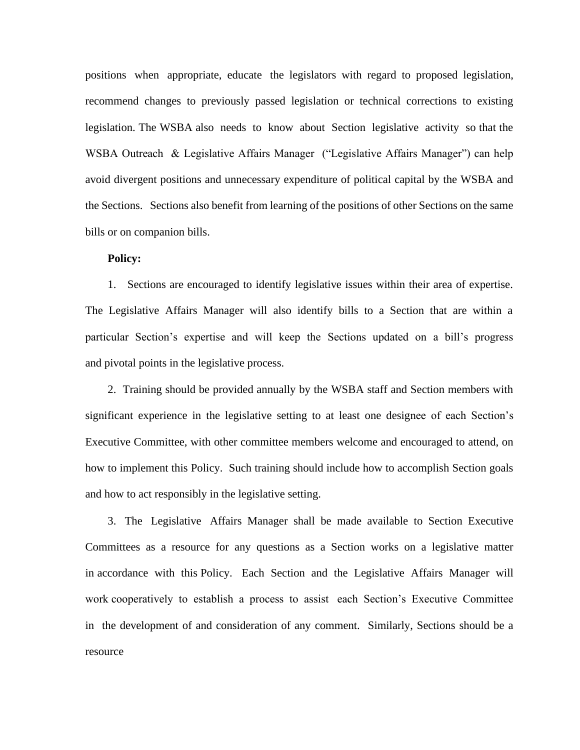positions when appropriate, educate the legislators with regard to proposed legislation, recommend changes to previously passed legislation or technical corrections to existing legislation. The WSBA also needs to know about Section legislative activity so that the WSBA Outreach & Legislative Affairs Manager ("Legislative Affairs Manager") can help avoid divergent positions and unnecessary expenditure of political capital by the WSBA and the Sections. Sections also benefit from learning of the positions of other Sections on the same bills or on companion bills.

## **Policy:**

1. Sections are encouraged to identify legislative issues within their area of expertise. The Legislative Affairs Manager will also identify bills to a Section that are within a particular Section's expertise and will keep the Sections updated on a bill's progress and pivotal points in the legislative process.

2. Training should be provided annually by the WSBA staff and Section members with significant experience in the legislative setting to at least one designee of each Section's Executive Committee, with other committee members welcome and encouraged to attend, on how to implement this Policy. Such training should include how to accomplish Section goals and how to act responsibly in the legislative setting.

3. The Legislative Affairs Manager shall be made available to Section Executive Committees as a resource for any questions as a Section works on a legislative matter in accordance with this Policy. Each Section and the Legislative Affairs Manager will work cooperatively to establish a process to assist each Section's Executive Committee in the development of and consideration of any comment. Similarly, Sections should be a resource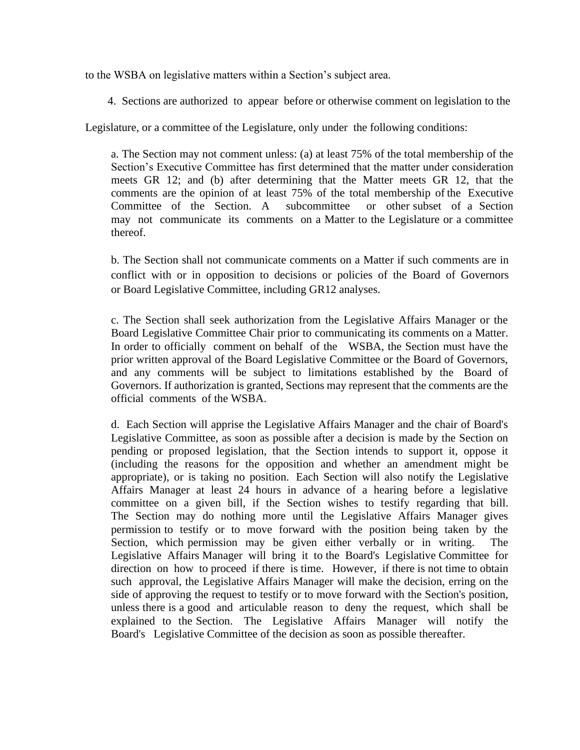to the WSBA on legislative matters within a Section's subject area.

4. Sections are authorized to appear before or otherwise comment on legislation to the

Legislature, or a committee of the Legislature, only under the following conditions:

a. The Section may not comment unless: (a) at least 75% of the total membership of the Section's Executive Committee has first determined that the matter under consideration meets GR 12; and (b) after determining that the Matter meets GR 12, that the comments are the opinion of at least 75% of the total membership of the Executive Committee of the Section. A subcommittee or other subset of a Section may not communicate its comments on a Matter to the Legislature or a committee thereof.

b. The Section shall not communicate comments on a Matter if such comments are in conflict with or in opposition to decisions or policies of the Board of Governors or Board Legislative Committee, including GR12 analyses.

c. The Section shall seek authorization from the Legislative Affairs Manager or the Board Legislative Committee Chair prior to communicating its comments on a Matter. In order to officially comment on behalf of the WSBA, the Section must have the prior written approval of the Board Legislative Committee or the Board of Governors, and any comments will be subject to limitations established by the Board of Governors. If authorization is granted, Sections may represent that the comments are the official comments of the WSBA.

d. Each Section will apprise the Legislative Affairs Manager and the chair of Board's Legislative Committee, as soon as possible after a decision is made by the Section on pending or proposed legislation, that the Section intends to support it, oppose it (including the reasons for the opposition and whether an amendment might be appropriate), or is taking no position. Each Section will also notify the Legislative Affairs Manager at least 24 hours in advance of a hearing before a legislative committee on a given bill, if the Section wishes to testify regarding that bill. The Section may do nothing more until the Legislative Affairs Manager gives permission to testify or to move forward with the position being taken by the Section, which permission may be given either verbally or in writing. The Legislative Affairs Manager will bring it to the Board's Legislative Committee for direction on how to proceed if there is time. However, if there is not time to obtain such approval, the Legislative Affairs Manager will make the decision, erring on the side of approving the request to testify or to move forward with the Section's position, unless there is a good and articulable reason to deny the request, which shall be explained to the Section. The Legislative Affairs Manager will notify the Board's Legislative Committee of the decision as soon as possible thereafter.